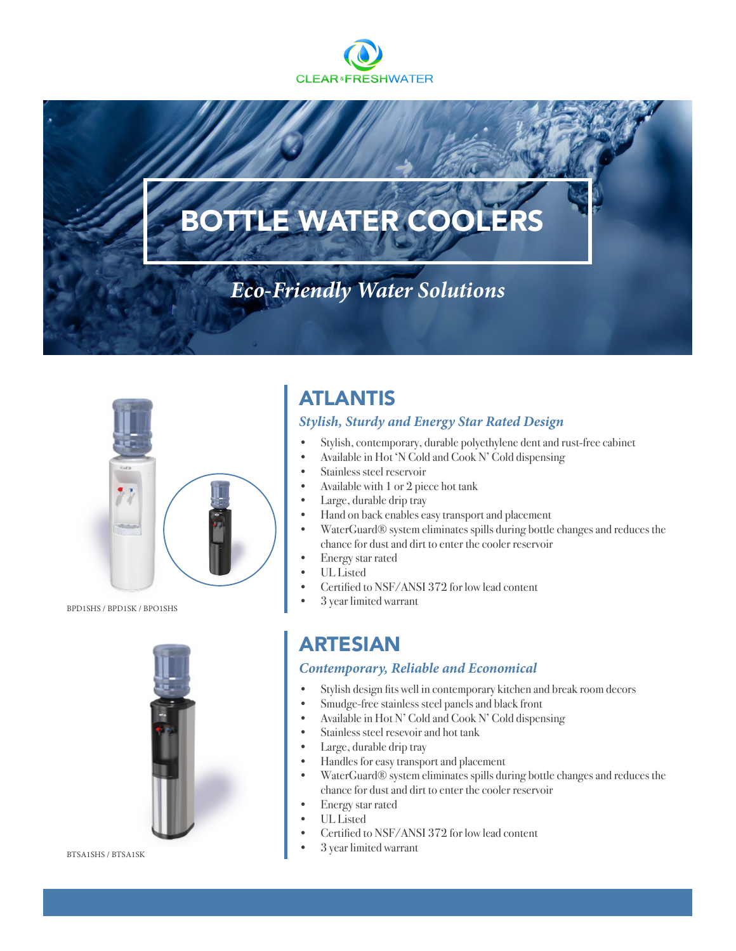

# BOTTLE WATER COOLERS

## *Eco-Friendly Water Solutions*



BPD1SHS / BPD1SK / BPO1SHS



BTSA1SHS / BTSA1SK

### ATLANTIS

#### *Stylish, Sturdy and Energy Star Rated Design*

- Stylish, contemporary, durable polyethylene dent and rust-free cabinet
- Available in Hot 'N Cold and Cook N' Cold dispensing
- Stainless steel reservoir
- Available with 1 or 2 piece hot tank
- Large, durable drip tray
- Hand on back enables easy transport and placement
- WaterGuard® system eliminates spills during bottle changes and reduces the chance for dust and dirt to enter the cooler reservoir
- Energy star rated
- UL Listed
- Certified to NSF/ANSI 372 for low lead content
- 3 year limited warrant

### ARTESIAN

#### *Contemporary, Reliable and Economical*

- Stylish design fits well in contemporary kitchen and break room decors
- Smudge-free stainless steel panels and black front
- Available in Hot N' Cold and Cook N' Cold dispensing
- Stainless steel resevoir and hot tank
- Large, durable drip tray
- Handles for easy transport and placement
- WaterGuard® system eliminates spills during bottle changes and reduces the chance for dust and dirt to enter the cooler reservoir
- Energy star rated
- UL Listed
- Certified to NSF/ANSI 372 for low lead content
- 3 year limited warrant